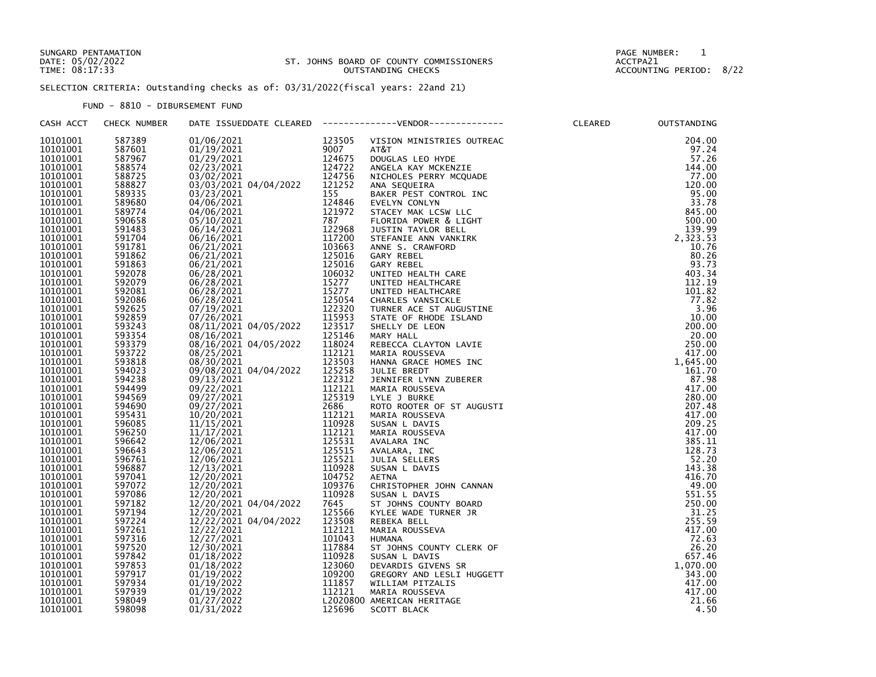## SUNGARD PENTAMATION PAGE NUMBER: 1 DATE: 05/02/2022 ST. JOHNS BOARD OF COUNTY COMMISSIONERS ACCTPA21 TIME: 08:17:33 OUTSTANDING CHECKS ACCOUNTING PERIOD: 8/22

SELECTION CRITERIA: Outstanding checks as of: 03/31/2022(fiscal years: 22and 21)

FUND - 8810 - DIBURSEMENT FUND

| CASH ACCT | CHECK NUMBER                                                                                           |                                                                                                                                                                                                                                                                                                                                                                              |                            | DATE ISSUEDDATE CLEARED -------------VENDOR-------------                                                                                                                                                                                                           | CLEARED | OUTSTANDING |
|-----------|--------------------------------------------------------------------------------------------------------|------------------------------------------------------------------------------------------------------------------------------------------------------------------------------------------------------------------------------------------------------------------------------------------------------------------------------------------------------------------------------|----------------------------|--------------------------------------------------------------------------------------------------------------------------------------------------------------------------------------------------------------------------------------------------------------------|---------|-------------|
| 10101001  | 587389                                                                                                 | $\begin{array}{cccc} 01/06/2021 & 123505 \\ 01/19/2021 & 9007 \\ 01/29/2021 & 124675 \\ 02/23/2021 & 124722 \\ 03/02/2021 & 124756 \\ 03/39/32021 & 04/04/2022 & 121252 \\ \end{array}$                                                                                                                                                                                      |                            | VISION MINISTRIES OUTREAC                                                                                                                                                                                                                                          |         | 204.00      |
| 10101001  | 587601                                                                                                 |                                                                                                                                                                                                                                                                                                                                                                              |                            | AT&T                                                                                                                                                                                                                                                               |         | 97.24       |
| 10101001  | 587967<br>588574                                                                                       |                                                                                                                                                                                                                                                                                                                                                                              |                            | DOUGLAS LEO HYDE                                                                                                                                                                                                                                                   |         | 57.26       |
| 10101001  |                                                                                                        |                                                                                                                                                                                                                                                                                                                                                                              |                            | ANGELA KAY MCKENZIE                                                                                                                                                                                                                                                |         | 144.00      |
| 10101001  | 588725                                                                                                 |                                                                                                                                                                                                                                                                                                                                                                              |                            | NICHOLES PERRY MCQUADE                                                                                                                                                                                                                                             |         | 77.00       |
| 10101001  |                                                                                                        |                                                                                                                                                                                                                                                                                                                                                                              |                            | ANA SEQUEIRA                                                                                                                                                                                                                                                       |         | 120.00      |
| 10101001  | 588827<br>589335                                                                                       |                                                                                                                                                                                                                                                                                                                                                                              |                            | BAKER PEST CONTROL INC                                                                                                                                                                                                                                             |         | 95.00       |
| 10101001  |                                                                                                        |                                                                                                                                                                                                                                                                                                                                                                              |                            | EVELYN CONLYN                                                                                                                                                                                                                                                      |         | 33.78       |
| 10101001  |                                                                                                        |                                                                                                                                                                                                                                                                                                                                                                              |                            | STACEY MAK LCSW LLC                                                                                                                                                                                                                                                |         | 845.00      |
| 10101001  | 589680<br>589774<br>590658                                                                             |                                                                                                                                                                                                                                                                                                                                                                              |                            | FLORIDA POWER & LIGHT                                                                                                                                                                                                                                              |         | 500.00      |
| 10101001  |                                                                                                        |                                                                                                                                                                                                                                                                                                                                                                              |                            | JUSTIN TAYLOR BELL                                                                                                                                                                                                                                                 |         | 139.99      |
| 10101001  | 591483<br>591704<br>591781                                                                             |                                                                                                                                                                                                                                                                                                                                                                              |                            |                                                                                                                                                                                                                                                                    |         | 2,323.53    |
|           |                                                                                                        |                                                                                                                                                                                                                                                                                                                                                                              |                            | STEFANIE ANN VANKIRK                                                                                                                                                                                                                                               |         | 10.76       |
| 10101001  |                                                                                                        |                                                                                                                                                                                                                                                                                                                                                                              |                            | ANNE S. CRAWFORD                                                                                                                                                                                                                                                   |         |             |
| 10101001  | 591862                                                                                                 |                                                                                                                                                                                                                                                                                                                                                                              |                            | GARY REBEL                                                                                                                                                                                                                                                         |         | 80.26       |
| 10101001  | 591863                                                                                                 |                                                                                                                                                                                                                                                                                                                                                                              |                            | GARY REBEL                                                                                                                                                                                                                                                         |         | 93.73       |
| 10101001  | 592078<br>592079<br>592081                                                                             |                                                                                                                                                                                                                                                                                                                                                                              |                            | UNITED HEALTH CARE                                                                                                                                                                                                                                                 |         | 403.34      |
| 10101001  |                                                                                                        |                                                                                                                                                                                                                                                                                                                                                                              |                            | UNITED HEALTHCARE                                                                                                                                                                                                                                                  |         | 112.19      |
| 10101001  |                                                                                                        |                                                                                                                                                                                                                                                                                                                                                                              |                            | UNITED HEALTHCARE                                                                                                                                                                                                                                                  |         | 101.82      |
| 10101001  | 592086<br>592625<br>592859                                                                             |                                                                                                                                                                                                                                                                                                                                                                              |                            |                                                                                                                                                                                                                                                                    |         | 77.82       |
| 10101001  |                                                                                                        |                                                                                                                                                                                                                                                                                                                                                                              |                            |                                                                                                                                                                                                                                                                    |         | 3.96        |
| 10101001  |                                                                                                        |                                                                                                                                                                                                                                                                                                                                                                              |                            |                                                                                                                                                                                                                                                                    |         | 10.00       |
| 10101001  | 593243                                                                                                 |                                                                                                                                                                                                                                                                                                                                                                              |                            |                                                                                                                                                                                                                                                                    |         | 200.00      |
| 10101001  | 593354<br>593354<br>593379                                                                             | $\begin{array}{cccc} 03/03/2021 & 04/04/2022 & 121252 \\ 03/23/2021 & 155 \\ 04/06/2021 & 124846 \\ 05/10/2021 & 787 \\ 06/14/2021 & 121972 \\ 06/14/2021 & 122968 \\ 06/16/2021 & 117200 \\ 06/21/2021 & 103663 \\ 06/21/2021 & 125016 \\ 06/21/2021 & 125016 \\ 06/28/$<br>08/16/2021 125146<br>08/16/2021 125146                                                          |                            |                                                                                                                                                                                                                                                                    |         | 20.00       |
| 10101001  |                                                                                                        |                                                                                                                                                                                                                                                                                                                                                                              |                            |                                                                                                                                                                                                                                                                    |         | 250.00      |
| 10101001  | 593722                                                                                                 |                                                                                                                                                                                                                                                                                                                                                                              |                            |                                                                                                                                                                                                                                                                    |         | 417.00      |
| 10101001  |                                                                                                        |                                                                                                                                                                                                                                                                                                                                                                              |                            |                                                                                                                                                                                                                                                                    |         | 1,645.00    |
| 10101001  | 593818<br>594023                                                                                       | 08/25/2021<br>08/30/2021 123503<br>09/08/2021 123503<br>09/08/2021 1235258<br>09/13/2021 122312<br>$\begin{array}{cccc} 09/08/2021 & 04/04/2022 & 125258 \\ 09/13/2021 & 122312 \\ 09/27/2021 & 112121 \\ 09/27/2021 & 125319 \\ 09/27/2021 & 125319 \\ 11/15/2021 & 112121 \\ 11/17/2021 & 112212 \\ 11/17/2021 & 112212 \\ 11/17/2021 & 125531 \\ 12/06/2021 & 125531 \\ $ |                            | UNTITED HEALTHCARE<br>CHARLES VANSICKLE<br>TURNER ACE ST AUGUSTINE<br>STATE OF RHODE ISLAND<br>SHELLY DE LEON<br>MARY HALL<br>REBECCA CLAYTON LAVIE<br>MARY HALL<br>REBECCA CLAYTON LAVIE<br>MARNA ROUSSEVA<br>JULIE BREDT<br>JENNIFER LYNN ZUBERER<br>MARIA ROUSS |         | 161.70      |
| 10101001  | 594238<br>594499                                                                                       |                                                                                                                                                                                                                                                                                                                                                                              |                            |                                                                                                                                                                                                                                                                    |         | 87.98       |
| 10101001  |                                                                                                        |                                                                                                                                                                                                                                                                                                                                                                              |                            |                                                                                                                                                                                                                                                                    |         | 417.00      |
| 10101001  | 594569                                                                                                 |                                                                                                                                                                                                                                                                                                                                                                              |                            |                                                                                                                                                                                                                                                                    |         | 280.00      |
| 10101001  |                                                                                                        |                                                                                                                                                                                                                                                                                                                                                                              |                            |                                                                                                                                                                                                                                                                    |         | 207.48      |
| 10101001  | 594690<br>595431                                                                                       |                                                                                                                                                                                                                                                                                                                                                                              |                            |                                                                                                                                                                                                                                                                    |         | 417.00      |
| 10101001  | 596085<br>596250                                                                                       |                                                                                                                                                                                                                                                                                                                                                                              |                            | SUSAN L DAVIS                                                                                                                                                                                                                                                      |         | 209.25      |
| 10101001  |                                                                                                        |                                                                                                                                                                                                                                                                                                                                                                              |                            | MARIA ROUSSEVA                                                                                                                                                                                                                                                     |         | 417.00      |
| 10101001  | 596642                                                                                                 |                                                                                                                                                                                                                                                                                                                                                                              |                            | AVALARA INC                                                                                                                                                                                                                                                        |         | 385.11      |
| 10101001  |                                                                                                        |                                                                                                                                                                                                                                                                                                                                                                              |                            | AVALARA, INC                                                                                                                                                                                                                                                       |         | 128.73      |
| 10101001  | 596643<br>596761<br>596887                                                                             |                                                                                                                                                                                                                                                                                                                                                                              |                            | JULIA SELLERS                                                                                                                                                                                                                                                      |         | 52.20       |
| 10101001  |                                                                                                        |                                                                                                                                                                                                                                                                                                                                                                              |                            | SUSAN L DAVIS                                                                                                                                                                                                                                                      |         | 143.38      |
| 10101001  |                                                                                                        |                                                                                                                                                                                                                                                                                                                                                                              |                            | <b>AETNA</b>                                                                                                                                                                                                                                                       |         | 416.70      |
| 10101001  |                                                                                                        |                                                                                                                                                                                                                                                                                                                                                                              |                            | CHRISTOPHER JOHN CANNAN                                                                                                                                                                                                                                            |         | 49.00       |
| 10101001  |                                                                                                        |                                                                                                                                                                                                                                                                                                                                                                              |                            | SUSAN L DAVIS                                                                                                                                                                                                                                                      |         | 551.55      |
| 10101001  |                                                                                                        |                                                                                                                                                                                                                                                                                                                                                                              |                            | ST JOHNS COUNTY BOARD                                                                                                                                                                                                                                              |         | 250.00      |
| 10101001  |                                                                                                        |                                                                                                                                                                                                                                                                                                                                                                              |                            | KYLEE WADE TURNER JR                                                                                                                                                                                                                                               |         | 31.25       |
| 10101001  |                                                                                                        | 12/22/2021 04/04/2022                                                                                                                                                                                                                                                                                                                                                        | 125566<br>123508<br>112121 | REBEKA BELL                                                                                                                                                                                                                                                        |         | 255.59      |
| 10101001  |                                                                                                        |                                                                                                                                                                                                                                                                                                                                                                              |                            |                                                                                                                                                                                                                                                                    |         | 417.00      |
| 10101001  |                                                                                                        |                                                                                                                                                                                                                                                                                                                                                                              |                            |                                                                                                                                                                                                                                                                    |         | 72.63       |
| 10101001  |                                                                                                        |                                                                                                                                                                                                                                                                                                                                                                              |                            |                                                                                                                                                                                                                                                                    |         | 26.20       |
|           |                                                                                                        |                                                                                                                                                                                                                                                                                                                                                                              |                            | ST JOHNS COUNTY CLERK OF                                                                                                                                                                                                                                           |         |             |
| 10101001  | 596887<br>597072<br>5970786<br>597182<br>597194<br>597224<br>59785<br>59785<br>59788<br>59788<br>59788 | 12/22/2021 04/04/2022 123508 REBEKA BELL<br>12/27/2021 112121 MARIA ROUSSEVA<br>12/27/2021 101043 HUMANA<br>12/30/2021 101043 HUMANA<br>12/30/2021 117884 ST JOHNS COUNTY CL<br>01/18/2022 123060 DEVARDIS GIVENS SR<br>01/19/2022 109200 GREGOR                                                                                                                             |                            |                                                                                                                                                                                                                                                                    |         | 657.46      |
| 10101001  | 597853                                                                                                 |                                                                                                                                                                                                                                                                                                                                                                              |                            | DEVARDIS GIVENS SR                                                                                                                                                                                                                                                 |         | 1,070.00    |
| 10101001  | 597917<br>597934<br>597939                                                                             |                                                                                                                                                                                                                                                                                                                                                                              |                            | GREGORY AND LESLI HUGGETT                                                                                                                                                                                                                                          |         | 343.00      |
| 10101001  |                                                                                                        |                                                                                                                                                                                                                                                                                                                                                                              |                            |                                                                                                                                                                                                                                                                    |         | 417.00      |
| 10101001  |                                                                                                        |                                                                                                                                                                                                                                                                                                                                                                              |                            |                                                                                                                                                                                                                                                                    |         | 417.00      |
| 10101001  | 598049                                                                                                 |                                                                                                                                                                                                                                                                                                                                                                              |                            |                                                                                                                                                                                                                                                                    |         | 21.66       |
| 10101001  | 598098                                                                                                 |                                                                                                                                                                                                                                                                                                                                                                              |                            |                                                                                                                                                                                                                                                                    |         | 4.50        |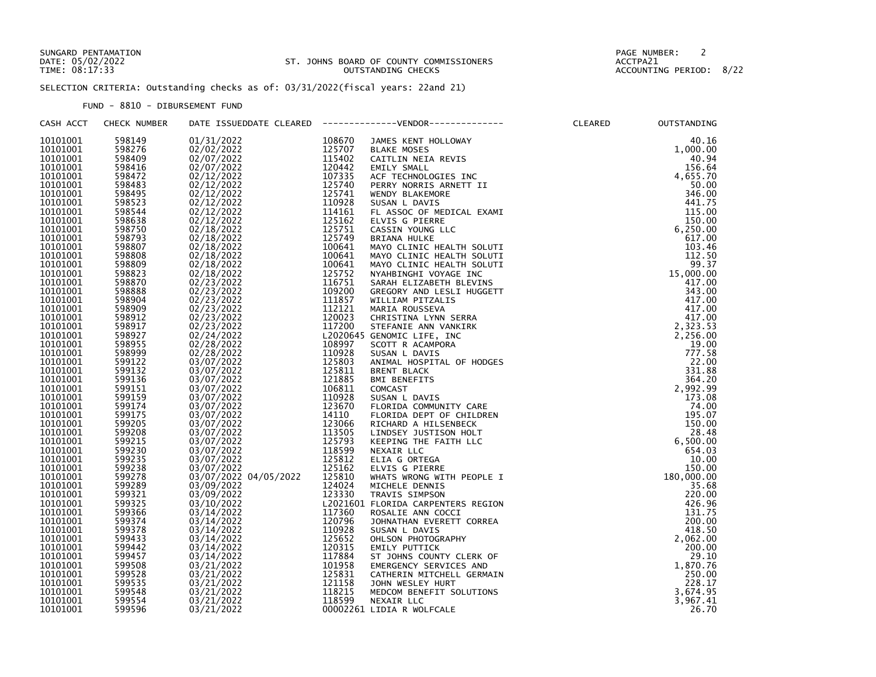## SUNGARD PENTAMATION PAGE NUMBER: 2 DATE: 05/02/2022 ST. JOHNS BOARD OF COUNTY COMMISSIONERS ACCTPA21 TIME: 08:17:33 OUTSTANDING CHECKS ACCOUNTING PERIOD: 8/22

SELECTION CRITERIA: Outstanding checks as of: 03/31/2022(fiscal years: 22and 21)

FUND - 8810 - DIBURSEMENT FUND

| CASH ACCT            | CHECK NUMBER                                                                                                                                                                                                                                                                                                       |  |                          | CLEARED | OUTSTANDING        |
|----------------------|--------------------------------------------------------------------------------------------------------------------------------------------------------------------------------------------------------------------------------------------------------------------------------------------------------------------|--|--------------------------|---------|--------------------|
| 10101001             | 598149                                                                                                                                                                                                                                                                                                             |  |                          |         |                    |
| 10101001             |                                                                                                                                                                                                                                                                                                                    |  |                          |         |                    |
| 10101001             |                                                                                                                                                                                                                                                                                                                    |  |                          |         |                    |
| 10101001             |                                                                                                                                                                                                                                                                                                                    |  |                          |         |                    |
| 10101001             |                                                                                                                                                                                                                                                                                                                    |  |                          |         |                    |
| 10101001             |                                                                                                                                                                                                                                                                                                                    |  |                          |         |                    |
| 10101001             |                                                                                                                                                                                                                                                                                                                    |  |                          |         |                    |
| 10101001             |                                                                                                                                                                                                                                                                                                                    |  |                          |         |                    |
| 10101001             |                                                                                                                                                                                                                                                                                                                    |  |                          |         |                    |
| 10101001             |                                                                                                                                                                                                                                                                                                                    |  |                          |         |                    |
| 10101001             |                                                                                                                                                                                                                                                                                                                    |  |                          |         |                    |
| 10101001             |                                                                                                                                                                                                                                                                                                                    |  |                          |         |                    |
| 10101001             |                                                                                                                                                                                                                                                                                                                    |  |                          |         |                    |
| 10101001             |                                                                                                                                                                                                                                                                                                                    |  |                          |         |                    |
| 10101001             |                                                                                                                                                                                                                                                                                                                    |  |                          |         |                    |
| 10101001             |                                                                                                                                                                                                                                                                                                                    |  |                          |         |                    |
| 10101001             |                                                                                                                                                                                                                                                                                                                    |  |                          |         |                    |
| 10101001             |                                                                                                                                                                                                                                                                                                                    |  |                          |         |                    |
| 10101001             |                                                                                                                                                                                                                                                                                                                    |  |                          |         |                    |
| 10101001             |                                                                                                                                                                                                                                                                                                                    |  |                          |         |                    |
| 10101001             |                                                                                                                                                                                                                                                                                                                    |  |                          |         |                    |
| 10101001             |                                                                                                                                                                                                                                                                                                                    |  |                          |         |                    |
| 10101001             |                                                                                                                                                                                                                                                                                                                    |  |                          |         |                    |
| 10101001             |                                                                                                                                                                                                                                                                                                                    |  |                          |         |                    |
| 10101001             |                                                                                                                                                                                                                                                                                                                    |  |                          |         |                    |
| 10101001             |                                                                                                                                                                                                                                                                                                                    |  |                          |         |                    |
| 10101001             |                                                                                                                                                                                                                                                                                                                    |  |                          |         |                    |
| 10101001             |                                                                                                                                                                                                                                                                                                                    |  |                          |         |                    |
| 10101001<br>10101001 |                                                                                                                                                                                                                                                                                                                    |  |                          |         |                    |
| 10101001             |                                                                                                                                                                                                                                                                                                                    |  |                          |         |                    |
| 10101001             |                                                                                                                                                                                                                                                                                                                    |  |                          |         |                    |
| 10101001             |                                                                                                                                                                                                                                                                                                                    |  |                          |         |                    |
| 10101001             |                                                                                                                                                                                                                                                                                                                    |  |                          |         |                    |
| 10101001             |                                                                                                                                                                                                                                                                                                                    |  |                          |         |                    |
| 10101001             |                                                                                                                                                                                                                                                                                                                    |  |                          |         |                    |
| 10101001             |                                                                                                                                                                                                                                                                                                                    |  |                          |         |                    |
| 10101001             |                                                                                                                                                                                                                                                                                                                    |  |                          |         |                    |
| 10101001             |                                                                                                                                                                                                                                                                                                                    |  |                          |         |                    |
| 10101001             |                                                                                                                                                                                                                                                                                                                    |  |                          |         |                    |
| 10101001             |                                                                                                                                                                                                                                                                                                                    |  |                          |         | 220.00             |
| 10101001             |                                                                                                                                                                                                                                                                                                                    |  |                          |         | 426.96             |
| 10101001             |                                                                                                                                                                                                                                                                                                                    |  |                          |         | 131.75             |
| 10101001             |                                                                                                                                                                                                                                                                                                                    |  | JOHNATHAN EVERETT CORREA |         | 200.00             |
| 10101001             |                                                                                                                                                                                                                                                                                                                    |  |                          |         | 418.50             |
| 10101001             |                                                                                                                                                                                                                                                                                                                    |  |                          |         |                    |
| 10101001             | 598495<br>598495<br>598495<br>598495<br>598495<br>598495<br>598525<br>598525<br>598525<br>598525<br>59875<br>59888885<br>59888885<br>59888885<br>59888885<br>598909<br>5989127<br>5999122<br>5991122<br>5991122<br>5991125<br>5991125<br>5991125<br>5991125<br>5991125<br>5991125<br>5991125<br>5991125<br>5991125 |  |                          |         | 2,062.00<br>200.00 |
| 10101001             |                                                                                                                                                                                                                                                                                                                    |  |                          |         | 29.10              |
| 10101001             |                                                                                                                                                                                                                                                                                                                    |  |                          |         | 1,870.76           |
| 10101001             |                                                                                                                                                                                                                                                                                                                    |  |                          |         | 250.00             |
| 10101001             |                                                                                                                                                                                                                                                                                                                    |  |                          |         | 228.17             |
| 10101001             |                                                                                                                                                                                                                                                                                                                    |  |                          |         | 3,674.95           |
| 10101001             |                                                                                                                                                                                                                                                                                                                    |  |                          |         | 3,967.41           |
| 10101001             | 599596                                                                                                                                                                                                                                                                                                             |  |                          |         | 26.70              |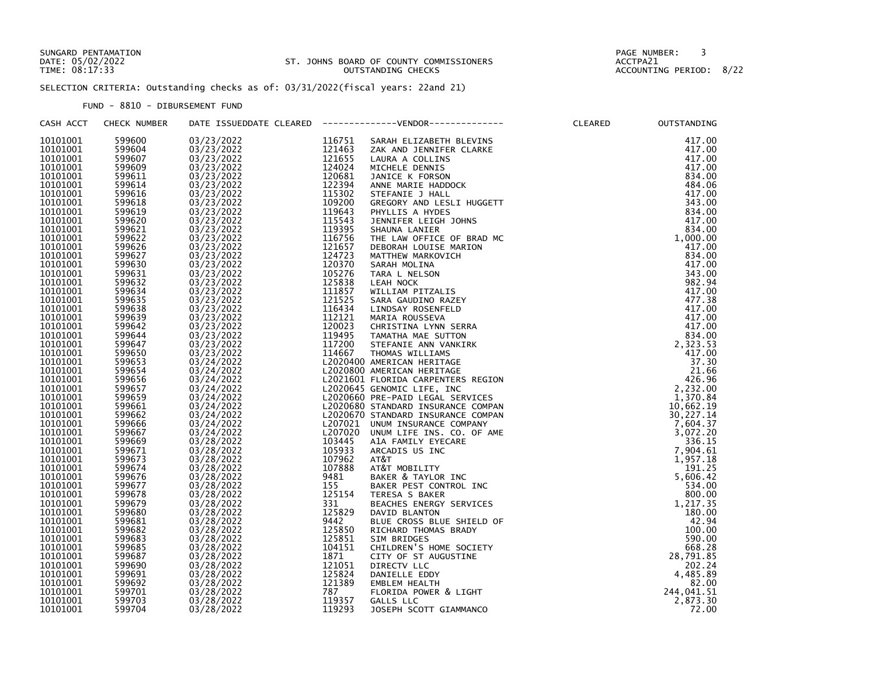## SUNGARD PENTAMATION PAGE NUMBER: 3 DATE: 05/02/2022 ST. JOHNS BOARD OF COUNTY COMMISSIONERS ACCTPA21 TIME: 08:17:33 OUTSTANDING CHECKS ACCOUNTING PERIOD: 8/22

SELECTION CRITERIA: Outstanding checks as of: 03/31/2022(fiscal years: 22and 21)

FUND - 8810 - DIBURSEMENT FUND

| CASH ACCT            | CHECK NUMBER     |            |        | DATE ISSUEDDATE CLEARED    -------------VENDOR-------------                                                                                                                                                                                           | OUTSTANDING          |
|----------------------|------------------|------------|--------|-------------------------------------------------------------------------------------------------------------------------------------------------------------------------------------------------------------------------------------------------------|----------------------|
| 10101001             | 599600           | 03/23/2022 | 116751 | ELIZABETH BLEVINS<br>MD JENNIFER CLARKE<br>A A COLLINS<br>FLE DENNIS<br>FLE DENNIS<br>FLE NORSON<br>E MARIE HADDOCK<br>FFANIE J HALL<br>REGORY AND LESLI HUGGETT<br>HYLLIS A HYDES<br>JENNIFER LEIGH JOHNS<br>SHAUNA LANIER<br>THE LAW OFFICE OF BRAD | 417.00               |
| 10101001             | 599604           |            |        |                                                                                                                                                                                                                                                       | 417.00               |
| 10101001             | 599607           |            |        |                                                                                                                                                                                                                                                       | 417.00               |
| 10101001             | 599609           |            |        |                                                                                                                                                                                                                                                       | 417.00               |
| 10101001             | 599611           |            |        |                                                                                                                                                                                                                                                       | 834.00               |
| 10101001             | 599614           |            |        |                                                                                                                                                                                                                                                       | 484.06               |
| 10101001             | 599616           |            |        |                                                                                                                                                                                                                                                       | 417.00               |
| 10101001             |                  |            |        |                                                                                                                                                                                                                                                       | 343.00               |
| 10101001             | 599618<br>599619 |            |        |                                                                                                                                                                                                                                                       | 834.00               |
| 10101001             | 599620           |            |        |                                                                                                                                                                                                                                                       | 417.00               |
| 10101001             |                  |            |        |                                                                                                                                                                                                                                                       | 834.00               |
| 10101001             | 599621<br>599622 |            |        |                                                                                                                                                                                                                                                       | 1,000.00             |
|                      | 599626           |            |        |                                                                                                                                                                                                                                                       |                      |
| 10101001<br>10101001 |                  |            |        |                                                                                                                                                                                                                                                       | 417.00               |
| 10101001             | 599627<br>599630 |            |        |                                                                                                                                                                                                                                                       | 834.00<br>417.00     |
|                      | 599631           |            |        |                                                                                                                                                                                                                                                       | 343.00               |
| 10101001             |                  |            |        |                                                                                                                                                                                                                                                       |                      |
| 10101001             | 599632<br>599634 |            |        |                                                                                                                                                                                                                                                       | 982.94               |
| 10101001             |                  |            |        |                                                                                                                                                                                                                                                       | 417.00               |
| 10101001             | 599635           |            |        |                                                                                                                                                                                                                                                       | 477.38               |
| 10101001             | 599638<br>599639 |            |        |                                                                                                                                                                                                                                                       | 417.00               |
| 10101001             |                  |            |        |                                                                                                                                                                                                                                                       | 417.00               |
| 10101001             | 599642           |            |        |                                                                                                                                                                                                                                                       | 417.00               |
| 10101001             | 599644<br>599647 |            |        |                                                                                                                                                                                                                                                       | $834.00$<br>2,323.53 |
| 10101001             |                  |            |        |                                                                                                                                                                                                                                                       |                      |
| 10101001             | 599650           |            |        |                                                                                                                                                                                                                                                       | 417.00               |
| 10101001             | 599653           |            |        |                                                                                                                                                                                                                                                       | 37.30                |
| 10101001             | 599654           |            |        |                                                                                                                                                                                                                                                       | 21.66                |
| 10101001             | 599656           |            |        |                                                                                                                                                                                                                                                       | 426.96               |
| 10101001             | 599657           |            |        |                                                                                                                                                                                                                                                       | 2,232.00             |
| 10101001             | 599659           |            |        |                                                                                                                                                                                                                                                       | 1,370.84             |
| 10101001             | 599661           |            |        |                                                                                                                                                                                                                                                       | 10,662.19            |
| 10101001             | 599662           |            |        |                                                                                                                                                                                                                                                       | 30,227.14            |
| 10101001             | 599666<br>599667 |            |        |                                                                                                                                                                                                                                                       | 7,604.37             |
| 10101001             |                  |            |        |                                                                                                                                                                                                                                                       | 3,072.20             |
| 10101001             | 599669           |            |        |                                                                                                                                                                                                                                                       | 336.15               |
| 10101001             | 599671           |            |        |                                                                                                                                                                                                                                                       | 7,904.61             |
| 10101001             | 599673           |            |        |                                                                                                                                                                                                                                                       | 1,957.18             |
| 10101001             | 599674           |            |        |                                                                                                                                                                                                                                                       | 191.25               |
| 10101001             | 599676           |            |        |                                                                                                                                                                                                                                                       | 5,606.42             |
| 10101001             | 599677           |            |        |                                                                                                                                                                                                                                                       | 534.00               |
| 10101001             | 599678           |            |        |                                                                                                                                                                                                                                                       | 800.00               |
| 10101001             | 599679           |            |        |                                                                                                                                                                                                                                                       | 1,217.35             |
| 10101001             | 599680           |            |        |                                                                                                                                                                                                                                                       | 180.00               |
| 10101001             | 599681<br>599682 |            |        |                                                                                                                                                                                                                                                       | 42.94                |
| 10101001             |                  |            |        |                                                                                                                                                                                                                                                       | 100.00               |
| 10101001             | 599683           |            |        |                                                                                                                                                                                                                                                       | 590.00               |
| 10101001             | 599685           |            |        |                                                                                                                                                                                                                                                       | 668.28               |
| 10101001             | 599687           |            |        |                                                                                                                                                                                                                                                       | 28,791.85            |
| 10101001             | 599690           |            |        |                                                                                                                                                                                                                                                       | 202.24               |
| 10101001             | 599691           |            |        |                                                                                                                                                                                                                                                       | 4,485.89             |
| 10101001<br>10101001 | 599692           |            |        |                                                                                                                                                                                                                                                       | 82.00                |
|                      | 599701           |            |        |                                                                                                                                                                                                                                                       | 244,041.51           |
| 10101001             | 599703           |            |        |                                                                                                                                                                                                                                                       | 2,873.30             |
| 10101001             | 599704           |            |        |                                                                                                                                                                                                                                                       | 72.00                |